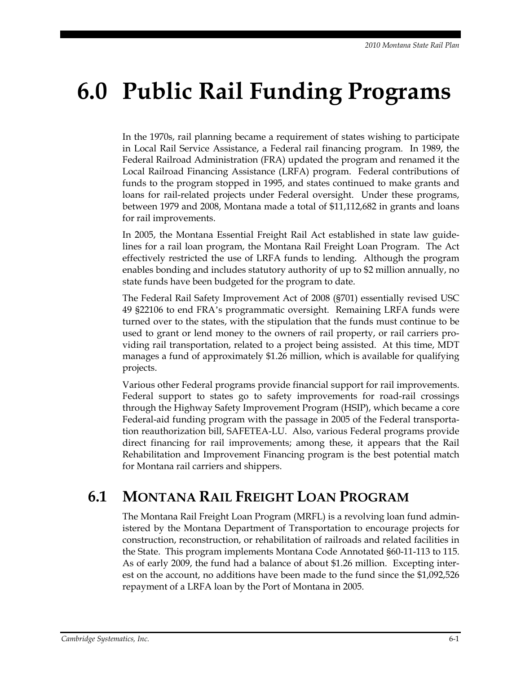# **6.0 Public Rail Funding Programs**

In the 1970s, rail planning became a requirement of states wishing to participate in Local Rail Service Assistance, a Federal rail financing program. In 1989, the Federal Railroad Administration (FRA) updated the program and renamed it the Local Railroad Financing Assistance (LRFA) program. Federal contributions of funds to the program stopped in 1995, and states continued to make grants and loans for rail-related projects under Federal oversight. Under these programs, between 1979 and 2008, Montana made a total of \$11,112,682 in grants and loans for rail improvements.

In 2005, the Montana Essential Freight Rail Act established in state law guidelines for a rail loan program, the Montana Rail Freight Loan Program. The Act effectively restricted the use of LRFA funds to lending. Although the program enables bonding and includes statutory authority of up to \$2 million annually, no state funds have been budgeted for the program to date.

The Federal Rail Safety Improvement Act of 2008 (§701) essentially revised USC 49 §22106 to end FRA's programmatic oversight. Remaining LRFA funds were turned over to the states, with the stipulation that the funds must continue to be used to grant or lend money to the owners of rail property, or rail carriers providing rail transportation, related to a project being assisted. At this time, MDT manages a fund of approximately \$1.26 million, which is available for qualifying projects.

Various other Federal programs provide financial support for rail improvements. Federal support to states go to safety improvements for road-rail crossings through the Highway Safety Improvement Program (HSIP), which became a core Federal-aid funding program with the passage in 2005 of the Federal transportation reauthorization bill, SAFETEA-LU. Also, various Federal programs provide direct financing for rail improvements; among these, it appears that the Rail Rehabilitation and Improvement Financing program is the best potential match for Montana rail carriers and shippers.

#### **6.1 MONTANA RAIL FREIGHT LOAN PROGRAM**

The Montana Rail Freight Loan Program (MRFL) is a revolving loan fund administered by the Montana Department of Transportation to encourage projects for construction, reconstruction, or rehabilitation of railroads and related facilities in the State. This program implements Montana Code Annotated §60-11-113 to 115. As of early 2009, the fund had a balance of about \$1.26 million. Excepting interest on the account, no additions have been made to the fund since the \$1,092,526 repayment of a LRFA loan by the Port of Montana in 2005.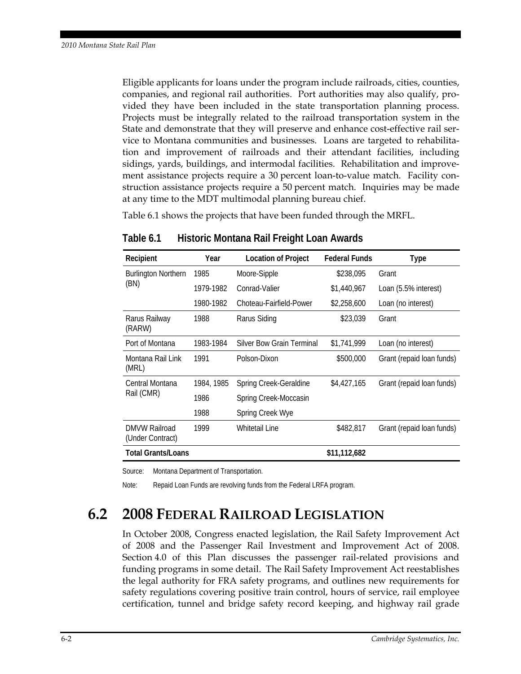Eligible applicants for loans under the program include railroads, cities, counties, companies, and regional rail authorities. Port authorities may also qualify, provided they have been included in the state transportation planning process. Projects must be integrally related to the railroad transportation system in the State and demonstrate that they will preserve and enhance cost-effective rail service to Montana communities and businesses. Loans are targeted to rehabilitation and improvement of railroads and their attendant facilities, including sidings, yards, buildings, and intermodal facilities. Rehabilitation and improvement assistance projects require a 30 percent loan-to-value match. Facility construction assistance projects require a 50 percent match. Inquiries may be made at any time to the MDT multimodal planning bureau chief.

Table 6.1 shows the projects that have been funded through the MRFL.

| Recipient                                | Year       | <b>Location of Project</b> | <b>Federal Funds</b> | Type                      |
|------------------------------------------|------------|----------------------------|----------------------|---------------------------|
| <b>Burlington Northern</b><br>(BN)       | 1985       | Moore-Sipple               | \$238,095            | Grant                     |
|                                          | 1979-1982  | Conrad-Valier              | \$1,440,967          | Loan (5.5% interest)      |
|                                          | 1980-1982  | Choteau-Fairfield-Power    | \$2,258,600          | Loan (no interest)        |
| Rarus Railway<br>(RARW)                  | 1988       | Rarus Siding               | \$23,039             | Grant                     |
| Port of Montana                          | 1983-1984  | Silver Bow Grain Terminal  | \$1,741,999          | Loan (no interest)        |
| Montana Rail Link<br>(MRL)               | 1991       | Polson-Dixon               | \$500,000            | Grant (repaid loan funds) |
| Central Montana<br>Rail (CMR)            | 1984, 1985 | Spring Creek-Geraldine     | \$4,427,165          | Grant (repaid loan funds) |
|                                          | 1986       | Spring Creek-Moccasin      |                      |                           |
|                                          | 1988       | Spring Creek Wye           |                      |                           |
| <b>DMVW Railroad</b><br>(Under Contract) | 1999       | Whitetail Line             | \$482,817            | Grant (repaid loan funds) |
| <b>Total Grants/Loans</b>                |            |                            | \$11,112,682         |                           |

**Table 6.1 Historic Montana Rail Freight Loan Awards** 

Source: Montana Department of Transportation.

Note: Repaid Loan Funds are revolving funds from the Federal LRFA program.

#### **6.2 2008 FEDERAL RAILROAD LEGISLATION**

In October 2008, Congress enacted legislation, the Rail Safety Improvement Act of 2008 and the Passenger Rail Investment and Improvement Act of 2008. Section 4.0 of this Plan discusses the passenger rail-related provisions and funding programs in some detail. The Rail Safety Improvement Act reestablishes the legal authority for FRA safety programs, and outlines new requirements for safety regulations covering positive train control, hours of service, rail employee certification, tunnel and bridge safety record keeping, and highway rail grade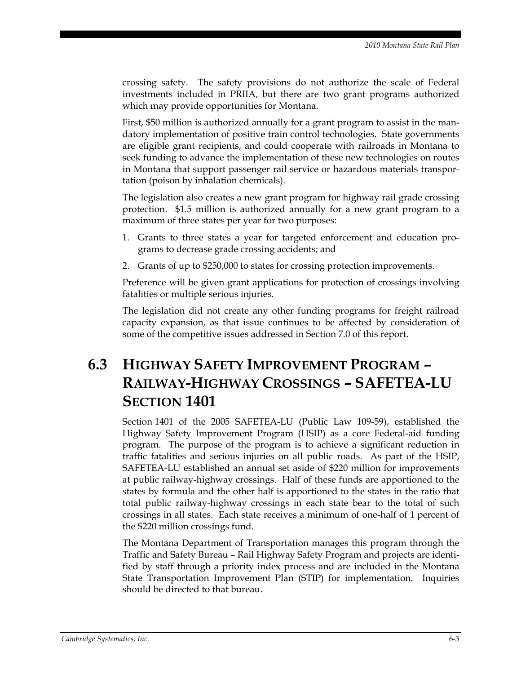crossing safety. The safety provisions do not authorize the scale of Federal investments included in PRIIA, but there are two grant programs authorized which may provide opportunities for Montana.

First, \$50 million is authorized annually for a grant program to assist in the mandatory implementation of positive train control technologies. State governments are eligible grant recipients, and could cooperate with railroads in Montana to seek funding to advance the implementation of these new technologies on routes in Montana that support passenger rail service or hazardous materials transportation (poison by inhalation chemicals).

The legislation also creates a new grant program for highway rail grade crossing protection. \$1.5 million is authorized annually for a new grant program to a maximum of three states per year for two purposes:

- 1. Grants to three states a year for targeted enforcement and education programs to decrease grade crossing accidents; and
- 2. Grants of up to \$250,000 to states for crossing protection improvements.

Preference will be given grant applications for protection of crossings involving fatalities or multiple serious injuries.

The legislation did not create any other funding programs for freight railroad capacity expansion, as that issue continues to be affected by consideration of some of the competitive issues addressed in Section 7.0 of this report.

### **6.3 HIGHWAY SAFETY IMPROVEMENT PROGRAM – RAILWAY-HIGHWAY CROSSINGS – SAFETEA-LU SECTION 1401**

Section 1401 of the 2005 SAFETEA-LU (Public Law 109-59), established the Highway Safety Improvement Program (HSIP) as a core Federal-aid funding program. The purpose of the program is to achieve a significant reduction in traffic fatalities and serious injuries on all public roads. As part of the HSIP, SAFETEA-LU established an annual set aside of \$220 million for improvements at public railway-highway crossings. Half of these funds are apportioned to the states by formula and the other half is apportioned to the states in the ratio that total public railway-highway crossings in each state bear to the total of such crossings in all states. Each state receives a minimum of one-half of 1 percent of the \$220 million crossings fund.

The Montana Department of Transportation manages this program through the Traffic and Safety Bureau – Rail Highway Safety Program and projects are identified by staff through a priority index process and are included in the Montana State Transportation Improvement Plan (STIP) for implementation. Inquiries should be directed to that bureau.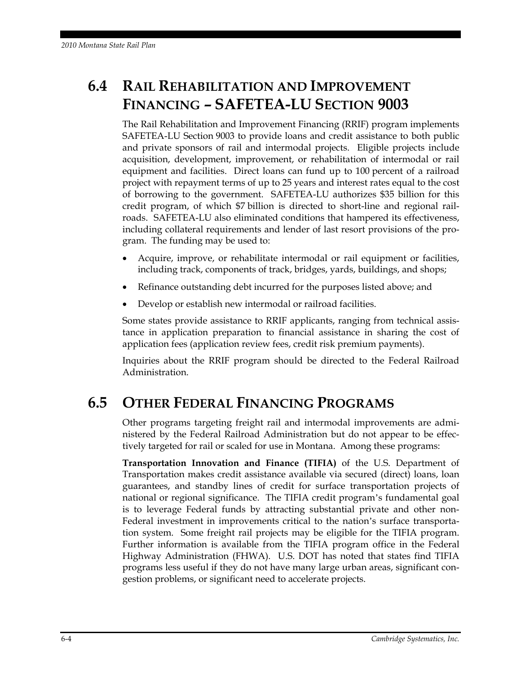## **6.4 RAIL REHABILITATION AND IMPROVEMENT FINANCING – SAFETEA-LU SECTION 9003**

The Rail Rehabilitation and Improvement Financing (RRIF) program implements SAFETEA-LU Section 9003 to provide loans and credit assistance to both public and private sponsors of rail and intermodal projects. Eligible projects include acquisition, development, improvement, or rehabilitation of intermodal or rail equipment and facilities. Direct loans can fund up to 100 percent of a railroad project with repayment terms of up to 25 years and interest rates equal to the cost of borrowing to the government. SAFETEA-LU authorizes \$35 billion for this credit program, of which \$7 billion is directed to short-line and regional railroads. SAFETEA-LU also eliminated conditions that hampered its effectiveness, including collateral requirements and lender of last resort provisions of the program. The funding may be used to:

- Acquire, improve, or rehabilitate intermodal or rail equipment or facilities, including track, components of track, bridges, yards, buildings, and shops;
- Refinance outstanding debt incurred for the purposes listed above; and
- Develop or establish new intermodal or railroad facilities.

Some states provide assistance to RRIF applicants, ranging from technical assistance in application preparation to financial assistance in sharing the cost of application fees (application review fees, credit risk premium payments).

Inquiries about the RRIF program should be directed to the Federal Railroad Administration.

#### **6.5 OTHER FEDERAL FINANCING PROGRAMS**

Other programs targeting freight rail and intermodal improvements are administered by the Federal Railroad Administration but do not appear to be effectively targeted for rail or scaled for use in Montana. Among these programs:

**Transportation Innovation and Finance (TIFIA)** of the U.S. Department of Transportation makes credit assistance available via secured (direct) loans, loan guarantees, and standby lines of credit for surface transportation projects of national or regional significance. The TIFIA credit program's fundamental goal is to leverage Federal funds by attracting substantial private and other non-Federal investment in improvements critical to the nation's surface transportation system. Some freight rail projects may be eligible for the TIFIA program. Further information is available from the TIFIA program office in the Federal Highway Administration (FHWA). U.S. DOT has noted that states find TIFIA programs less useful if they do not have many large urban areas, significant congestion problems, or significant need to accelerate projects.